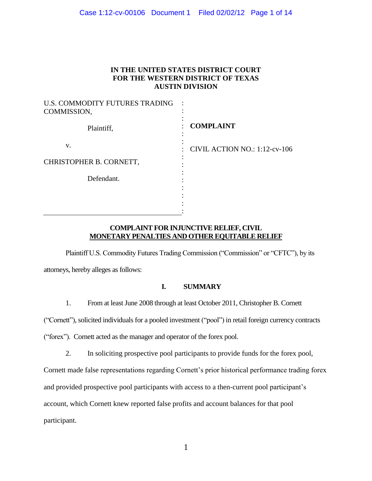# Case 1:12-cv-00106 Document 1 Filed 02/02/12 Page 1 of 14

# **IN THE UNITED STATES DISTRICT COURT FOR THE WESTERN DISTRICT OF TEXAS AUSTIN DIVISION**

| U.S. COMMODITY FUTURES TRADING<br>COMMISSION, |                               |
|-----------------------------------------------|-------------------------------|
| Plaintiff,                                    | <b>COMPLAINT</b>              |
| V.                                            | CIVIL ACTION NO.: 1:12-cv-106 |
| CHRISTOPHER B. CORNETT,                       |                               |
| Defendant.                                    |                               |
|                                               |                               |
|                                               |                               |

# **COMPLAINT FOR INJUNCTIVE RELIEF, CIVIL MONETARY PENALTIES AND OTHER EQUITABLE RELIEF**

Plaintiff U.S. Commodity Futures Trading Commission ("Commission" or "CFTC"), by its attorneys, hereby alleges as follows:

# **I. SUMMARY**

1. From at least June 2008 through at least October 2011, Christopher B. Cornett

("Cornett"), solicited individuals for a pooled investment ("pool") in retail foreign currency contracts

("forex"). Cornett acted as the manager and operator of the forex pool.

2. In soliciting prospective pool participants to provide funds for the forex pool,

Cornett made false representations regarding Cornett's prior historical performance trading forex and provided prospective pool participants with access to a then-current pool participant's account, which Cornett knew reported false profits and account balances for that pool participant.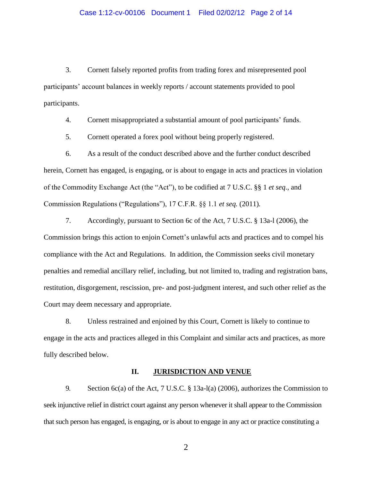3. Cornett falsely reported profits from trading forex and misrepresented pool participants' account balances in weekly reports / account statements provided to pool participants.

4. Cornett misappropriated a substantial amount of pool participants' funds.

5. Cornett operated a forex pool without being properly registered.

6. As a result of the conduct described above and the further conduct described herein, Cornett has engaged, is engaging, or is about to engage in acts and practices in violation of the Commodity Exchange Act (the "Act"), to be codified at 7 U.S.C. §§ 1 *et seq*., and Commission Regulations ("Regulations"), 17 C.F.R. §§ 1.1 *et seq.* (2011)*.*

7. Accordingly, pursuant to Section 6c of the Act, 7 U.S.C. § 13a-l (2006), the Commission brings this action to enjoin Cornett's unlawful acts and practices and to compel his compliance with the Act and Regulations. In addition, the Commission seeks civil monetary penalties and remedial ancillary relief, including, but not limited to, trading and registration bans, restitution, disgorgement, rescission, pre- and post-judgment interest, and such other relief as the Court may deem necessary and appropriate.

8. Unless restrained and enjoined by this Court, Cornett is likely to continue to engage in the acts and practices alleged in this Complaint and similar acts and practices, as more fully described below.

# **II. JURISDICTION AND VENUE**

9. Section 6c(a) of the Act, 7 U.S.C. § 13a-l(a) (2006), authorizes the Commission to seek injunctive relief in district court against any person whenever it shall appear to the Commission that such person has engaged, is engaging, or is about to engage in any act or practice constituting a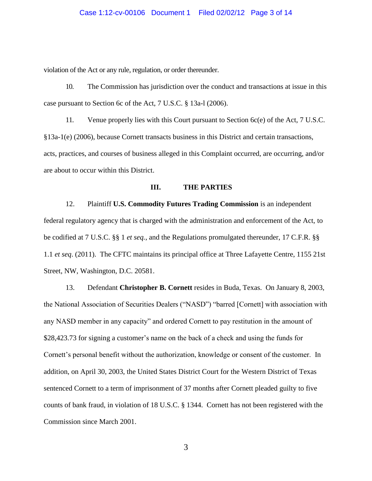violation of the Act or any rule, regulation, or order thereunder.

10. The Commission has jurisdiction over the conduct and transactions at issue in this case pursuant to Section 6c of the Act, 7 U.S.C. § 13a-l (2006).

11. Venue properly lies with this Court pursuant to Section 6c(e) of the Act, 7 U.S.C. §13a-1(e) (2006), because Cornett transacts business in this District and certain transactions, acts, practices, and courses of business alleged in this Complaint occurred, are occurring, and/or are about to occur within this District.

# **III. THE PARTIES**

12. Plaintiff **U.S. Commodity Futures Trading Commission** is an independent federal regulatory agency that is charged with the administration and enforcement of the Act, to be codified at 7 U.S.C. §§ 1 *et seq.*, and the Regulations promulgated thereunder, 17 C.F.R. §§ 1.1 *et seq*. (2011). The CFTC maintains its principal office at Three Lafayette Centre, 1155 21st Street, NW, Washington, D.C. 20581.

13. Defendant **Christopher B. Cornett** resides in Buda, Texas. On January 8, 2003, the National Association of Securities Dealers ("NASD") "barred [Cornett] with association with any NASD member in any capacity" and ordered Cornett to pay restitution in the amount of \$28,423.73 for signing a customer's name on the back of a check and using the funds for Cornett's personal benefit without the authorization, knowledge or consent of the customer. In addition, on April 30, 2003, the United States District Court for the Western District of Texas sentenced Cornett to a term of imprisonment of 37 months after Cornett pleaded guilty to five counts of bank fraud, in violation of 18 U.S.C. § 1344. Cornett has not been registered with the Commission since March 2001.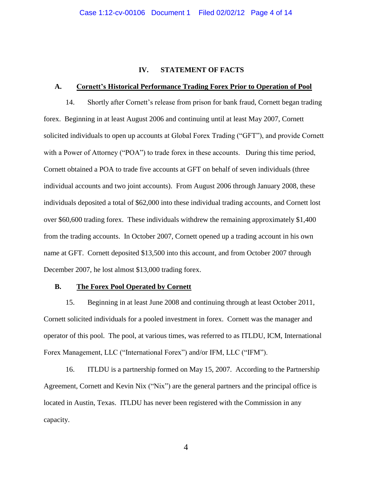# **IV. STATEMENT OF FACTS**

#### **A. Cornett's Historical Performance Trading Forex Prior to Operation of Pool**

14. Shortly after Cornett's release from prison for bank fraud, Cornett began trading forex. Beginning in at least August 2006 and continuing until at least May 2007, Cornett solicited individuals to open up accounts at Global Forex Trading ("GFT"), and provide Cornett with a Power of Attorney ("POA") to trade forex in these accounts. During this time period, Cornett obtained a POA to trade five accounts at GFT on behalf of seven individuals (three individual accounts and two joint accounts). From August 2006 through January 2008, these individuals deposited a total of \$62,000 into these individual trading accounts, and Cornett lost over \$60,600 trading forex. These individuals withdrew the remaining approximately \$1,400 from the trading accounts. In October 2007, Cornett opened up a trading account in his own name at GFT. Cornett deposited \$13,500 into this account, and from October 2007 through December 2007, he lost almost \$13,000 trading forex.

#### **B. The Forex Pool Operated by Cornett**

15. Beginning in at least June 2008 and continuing through at least October 2011, Cornett solicited individuals for a pooled investment in forex. Cornett was the manager and operator of this pool. The pool, at various times, was referred to as ITLDU, ICM, International Forex Management, LLC ("International Forex") and/or IFM, LLC ("IFM").

16. ITLDU is a partnership formed on May 15, 2007. According to the Partnership Agreement, Cornett and Kevin Nix ("Nix") are the general partners and the principal office is located in Austin, Texas. ITLDU has never been registered with the Commission in any capacity.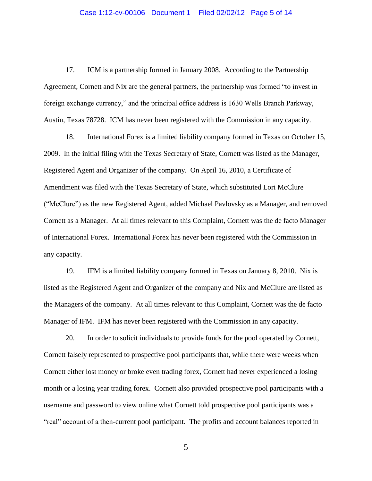#### Case 1:12-cv-00106 Document 1 Filed 02/02/12 Page 5 of 14

17. ICM is a partnership formed in January 2008. According to the Partnership Agreement, Cornett and Nix are the general partners, the partnership was formed "to invest in foreign exchange currency," and the principal office address is 1630 Wells Branch Parkway, Austin, Texas 78728. ICM has never been registered with the Commission in any capacity.

18. International Forex is a limited liability company formed in Texas on October 15, 2009. In the initial filing with the Texas Secretary of State, Cornett was listed as the Manager, Registered Agent and Organizer of the company. On April 16, 2010, a Certificate of Amendment was filed with the Texas Secretary of State, which substituted Lori McClure ("McClure") as the new Registered Agent, added Michael Pavlovsky as a Manager, and removed Cornett as a Manager. At all times relevant to this Complaint, Cornett was the de facto Manager of International Forex. International Forex has never been registered with the Commission in any capacity.

19. IFM is a limited liability company formed in Texas on January 8, 2010. Nix is listed as the Registered Agent and Organizer of the company and Nix and McClure are listed as the Managers of the company. At all times relevant to this Complaint, Cornett was the de facto Manager of IFM. IFM has never been registered with the Commission in any capacity.

20. In order to solicit individuals to provide funds for the pool operated by Cornett, Cornett falsely represented to prospective pool participants that, while there were weeks when Cornett either lost money or broke even trading forex, Cornett had never experienced a losing month or a losing year trading forex. Cornett also provided prospective pool participants with a username and password to view online what Cornett told prospective pool participants was a "real" account of a then-current pool participant. The profits and account balances reported in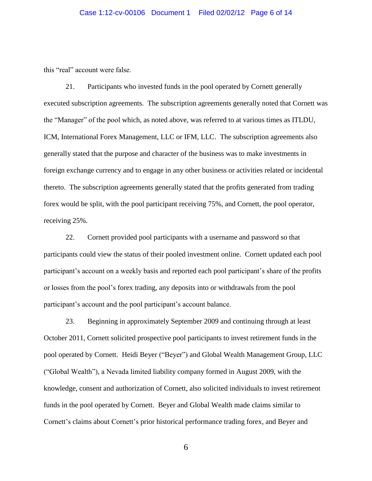this "real" account were false.

21. Participants who invested funds in the pool operated by Cornett generally executed subscription agreements. The subscription agreements generally noted that Cornett was the "Manager" of the pool which, as noted above, was referred to at various times as ITLDU, ICM, International Forex Management, LLC or IFM, LLC. The subscription agreements also generally stated that the purpose and character of the business was to make investments in foreign exchange currency and to engage in any other business or activities related or incidental thereto. The subscription agreements generally stated that the profits generated from trading forex would be split, with the pool participant receiving 75%, and Cornett, the pool operator, receiving 25%.

22. Cornett provided pool participants with a username and password so that participants could view the status of their pooled investment online. Cornett updated each pool participant's account on a weekly basis and reported each pool participant's share of the profits or losses from the pool's forex trading, any deposits into or withdrawals from the pool participant's account and the pool participant's account balance.

23. Beginning in approximately September 2009 and continuing through at least October 2011, Cornett solicited prospective pool participants to invest retirement funds in the pool operated by Cornett. Heidi Beyer ("Beyer") and Global Wealth Management Group, LLC ("Global Wealth"), a Nevada limited liability company formed in August 2009, with the knowledge, consent and authorization of Cornett, also solicited individuals to invest retirement funds in the pool operated by Cornett. Beyer and Global Wealth made claims similar to Cornett's claims about Cornett's prior historical performance trading forex, and Beyer and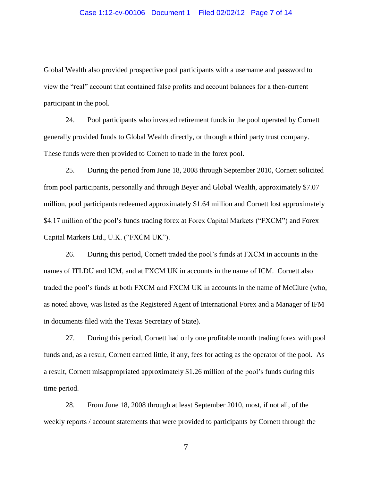#### Case 1:12-cv-00106 Document 1 Filed 02/02/12 Page 7 of 14

Global Wealth also provided prospective pool participants with a username and password to view the "real" account that contained false profits and account balances for a then-current participant in the pool.

24. Pool participants who invested retirement funds in the pool operated by Cornett generally provided funds to Global Wealth directly, or through a third party trust company. These funds were then provided to Cornett to trade in the forex pool.

25. During the period from June 18, 2008 through September 2010, Cornett solicited from pool participants, personally and through Beyer and Global Wealth, approximately \$7.07 million, pool participants redeemed approximately \$1.64 million and Cornett lost approximately \$4.17 million of the pool's funds trading forex at Forex Capital Markets ("FXCM") and Forex Capital Markets Ltd., U.K. ("FXCM UK").

26. During this period, Cornett traded the pool's funds at FXCM in accounts in the names of ITLDU and ICM, and at FXCM UK in accounts in the name of ICM. Cornett also traded the pool's funds at both FXCM and FXCM UK in accounts in the name of McClure (who, as noted above, was listed as the Registered Agent of International Forex and a Manager of IFM in documents filed with the Texas Secretary of State).

27. During this period, Cornett had only one profitable month trading forex with pool funds and, as a result, Cornett earned little, if any, fees for acting as the operator of the pool. As a result, Cornett misappropriated approximately \$1.26 million of the pool's funds during this time period.

28. From June 18, 2008 through at least September 2010, most, if not all, of the weekly reports / account statements that were provided to participants by Cornett through the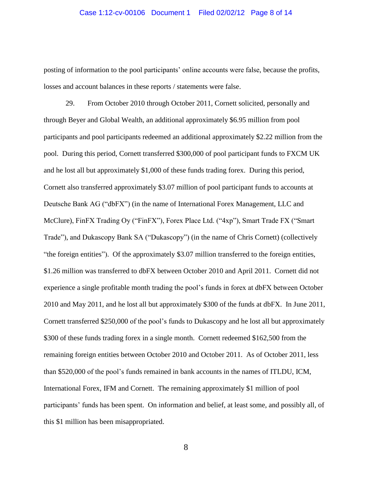#### Case 1:12-cv-00106 Document 1 Filed 02/02/12 Page 8 of 14

posting of information to the pool participants' online accounts were false, because the profits, losses and account balances in these reports / statements were false.

29. From October 2010 through October 2011, Cornett solicited, personally and through Beyer and Global Wealth, an additional approximately \$6.95 million from pool participants and pool participants redeemed an additional approximately \$2.22 million from the pool. During this period, Cornett transferred \$300,000 of pool participant funds to FXCM UK and he lost all but approximately \$1,000 of these funds trading forex. During this period, Cornett also transferred approximately \$3.07 million of pool participant funds to accounts at Deutsche Bank AG ("dbFX") (in the name of International Forex Management, LLC and McClure), FinFX Trading Oy ("FinFX"), Forex Place Ltd. ("4xp"), Smart Trade FX ("Smart Trade"), and Dukascopy Bank SA ("Dukascopy") (in the name of Chris Cornett) (collectively "the foreign entities"). Of the approximately \$3.07 million transferred to the foreign entities, \$1.26 million was transferred to dbFX between October 2010 and April 2011. Cornett did not experience a single profitable month trading the pool's funds in forex at dbFX between October 2010 and May 2011, and he lost all but approximately \$300 of the funds at dbFX. In June 2011, Cornett transferred \$250,000 of the pool's funds to Dukascopy and he lost all but approximately \$300 of these funds trading forex in a single month. Cornett redeemed \$162,500 from the remaining foreign entities between October 2010 and October 2011. As of October 2011, less than \$520,000 of the pool's funds remained in bank accounts in the names of ITLDU, ICM, International Forex, IFM and Cornett. The remaining approximately \$1 million of pool participants' funds has been spent. On information and belief, at least some, and possibly all, of this \$1 million has been misappropriated.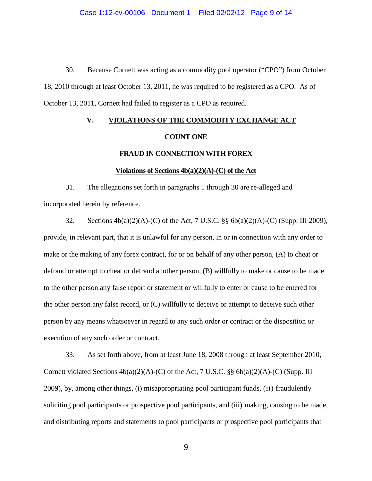30. Because Cornett was acting as a commodity pool operator ("CPO") from October 18, 2010 through at least October 13, 2011, he was required to be registered as a CPO. As of October 13, 2011, Cornett had failed to register as a CPO as required.

# **V. VIOLATIONS OF THE COMMODITY EXCHANGE ACT COUNT ONE**

# **FRAUD IN CONNECTION WITH FOREX**

### **Violations of Sections 4b(a)(2)(A)-(C) of the Act**

31. The allegations set forth in paragraphs 1 through 30 are re-alleged and incorporated herein by reference.

32. Sections 4b(a)(2)(A)-(C) of the Act, 7 U.S.C. §§ 6b(a)(2)(A)-(C) (Supp. III 2009), provide, in relevant part, that it is unlawful for any person, in or in connection with any order to make or the making of any forex contract, for or on behalf of any other person, (A) to cheat or defraud or attempt to cheat or defraud another person, (B) willfully to make or cause to be made to the other person any false report or statement or willfully to enter or cause to be entered for the other person any false record, or (C) willfully to deceive or attempt to deceive such other person by any means whatsoever in regard to any such order or contract or the disposition or execution of any such order or contract.

33. As set forth above, from at least June 18, 2008 through at least September 2010, Cornett violated Sections  $4b(a)(2)(A)$ -(C) of the Act, 7 U.S.C. §§  $6b(a)(2)(A)$ -(C) (Supp. III 2009), by, among other things, (i) misappropriating pool participant funds, (ii) fraudulently soliciting pool participants or prospective pool participants, and (iii) making, causing to be made, and distributing reports and statements to pool participants or prospective pool participants that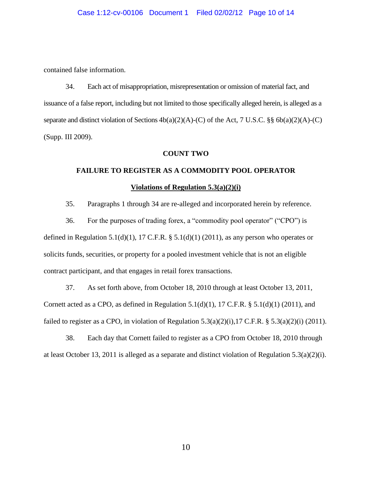contained false information.

34. Each act of misappropriation, misrepresentation or omission of material fact, and issuance of a false report, including but not limited to those specifically alleged herein, is alleged as a separate and distinct violation of Sections  $4b(a)(2)(A)-(C)$  of the Act, 7 U.S.C. §§  $6b(a)(2)(A)-(C)$ (Supp. III 2009).

### **COUNT TWO**

# **FAILURE TO REGISTER AS A COMMODITY POOL OPERATOR Violations of Regulation 5.3(a)(2)(i)**

35. Paragraphs 1 through 34 are re-alleged and incorporated herein by reference.

36. For the purposes of trading forex, a "commodity pool operator" ("CPO") is defined in Regulation 5.1(d)(1), 17 C.F.R.  $\S$  5.1(d)(1) (2011), as any person who operates or solicits funds, securities, or property for a pooled investment vehicle that is not an eligible contract participant, and that engages in retail forex transactions.

37. As set forth above, from October 18, 2010 through at least October 13, 2011, Cornett acted as a CPO, as defined in Regulation 5.1(d)(1), 17 C.F.R.  $\S$  5.1(d)(1) (2011), and failed to register as a CPO, in violation of Regulation  $5.3(a)(2)(i)$ ,  $17$  C.F.R. §  $5.3(a)(2)(i)$  (2011).

38. Each day that Cornett failed to register as a CPO from October 18, 2010 through at least October 13, 2011 is alleged as a separate and distinct violation of Regulation 5.3(a)(2)(i).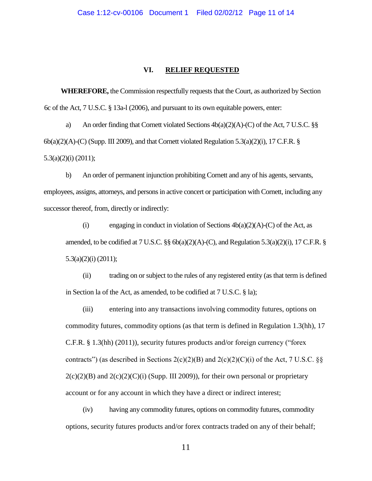# **VI. RELIEF REQUESTED**

**WHEREFORE,** the Commission respectfully requests that the Court, as authorized by Section 6c of the Act, 7 U.S.C. § 13a-l (2006), and pursuant to its own equitable powers, enter:

a) An order finding that Cornett violated Sections  $4b(a)(2)(A)-(C)$  of the Act, 7 U.S.C. §§  $6b(a)(2)(A)-(C)$  (Supp. III 2009), and that Cornett violated Regulation 5.3(a)(2)(i), 17 C.F.R. § 5.3(a)(2)(i) (2011);

b) An order of permanent injunction prohibiting Cornett and any of his agents, servants, employees, assigns, attorneys, and persons in active concert or participation with Cornett, including any successor thereof, from, directly or indirectly:

(i) engaging in conduct in violation of Sections  $4b(a)(2)(A)-(C)$  of the Act, as amended, to be codified at  $7 \text{ U.S.C. }$  §§  $6b(a)(2)(A)-(C)$ , and Regulation  $5.3(a)(2)(i)$ , 17 C.F.R. § 5.3(a)(2)(i) (2011);

(ii) trading on or subject to the rules of any registered entity (as that term is defined in Section la of the Act, as amended, to be codified at 7 U.S.C. § la);

(iii) entering into any transactions involving commodity futures, options on commodity futures, commodity options (as that term is defined in Regulation 1.3(hh), 17 C.F.R. § 1.3(hh) (2011)), security futures products and/or foreign currency ("forex contracts") (as described in Sections  $2(c)(2)(B)$  and  $2(c)(2)(C)(i)$  of the Act, 7 U.S.C. §§  $2(c)(2)(B)$  and  $2(c)(2)(C)(i)$  (Supp. III 2009)), for their own personal or proprietary account or for any account in which they have a direct or indirect interest;

(iv) having any commodity futures, options on commodity futures, commodity options, security futures products and/or forex contracts traded on any of their behalf;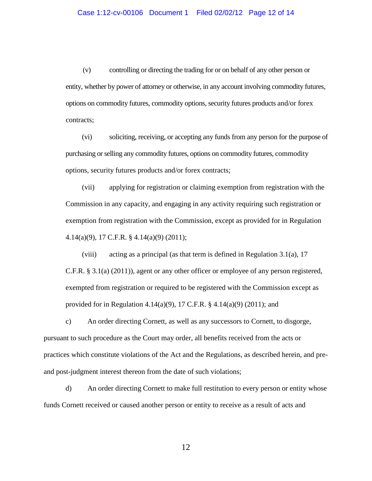(v) controlling or directing the trading for or on behalf of any other person or entity, whether by power of attorney or otherwise, in any account involving commodity futures, options on commodity futures, commodity options, security futures products and/or forex contracts;

(vi) soliciting, receiving, or accepting any funds from any person for the purpose of purchasing or selling any commodity futures, options on commodity futures, commodity options, security futures products and/or forex contracts;

(vii) applying for registration or claiming exemption from registration with the Commission in any capacity, and engaging in any activity requiring such registration or exemption from registration with the Commission, except as provided for in Regulation 4.14(a)(9), 17 C.F.R. § 4.14(a)(9) (2011);

(viii) acting as a principal (as that term is defined in Regulation 3.1(a), 17 C.F.R. § 3.1(a) (2011)), agent or any other officer or employee of any person registered, exempted from registration or required to be registered with the Commission except as provided for in Regulation 4.14(a)(9), 17 C.F.R.  $\S$  4.14(a)(9) (2011); and

c) An order directing Cornett, as well as any successors to Cornett, to disgorge, pursuant to such procedure as the Court may order, all benefits received from the acts or practices which constitute violations of the Act and the Regulations, as described herein, and preand post-judgment interest thereon from the date of such violations;

d) An order directing Cornett to make full restitution to every person or entity whose funds Cornett received or caused another person or entity to receive as a result of acts and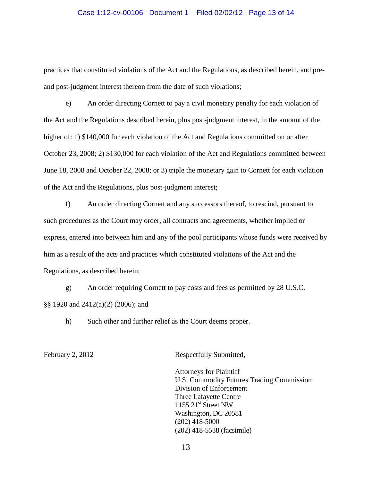#### Case 1:12-cv-00106 Document 1 Filed 02/02/12 Page 13 of 14

practices that constituted violations of the Act and the Regulations, as described herein, and preand post-judgment interest thereon from the date of such violations;

e) An order directing Cornett to pay a civil monetary penalty for each violation of the Act and the Regulations described herein, plus post-judgment interest, in the amount of the higher of: 1) \$140,000 for each violation of the Act and Regulations committed on or after October 23, 2008; 2) \$130,000 for each violation of the Act and Regulations committed between June 18, 2008 and October 22, 2008; or 3) triple the monetary gain to Cornett for each violation of the Act and the Regulations, plus post-judgment interest;

f) An order directing Cornett and any successors thereof, to rescind, pursuant to such procedures as the Court may order, all contracts and agreements, whether implied or express, entered into between him and any of the pool participants whose funds were received by him as a result of the acts and practices which constituted violations of the Act and the Regulations, as described herein;

g) An order requiring Cornett to pay costs and fees as permitted by 28 U.S.C. §§ 1920 and 2412(a)(2) (2006); and

h) Such other and further relief as the Court deems proper.

February 2, 2012 Respectfully Submitted,

Attorneys for Plaintiff U.S. Commodity Futures Trading Commission Division of Enforcement Three Lafayette Centre  $1155$   $21<sup>st</sup>$  Street NW Washington, DC 20581 (202) 418-5000 (202) 418-5538 (facsimile)